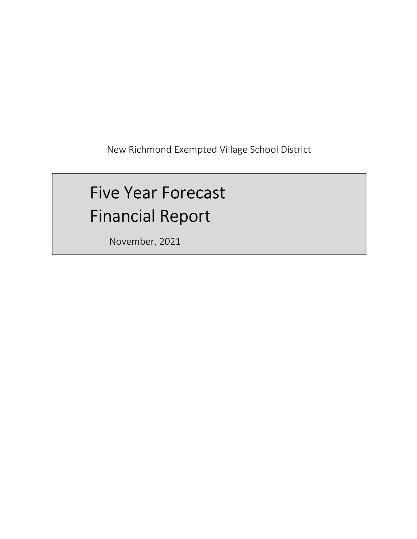New Richmond Exempted Village School District

# Five Year Forecast Financial Report

November, 2021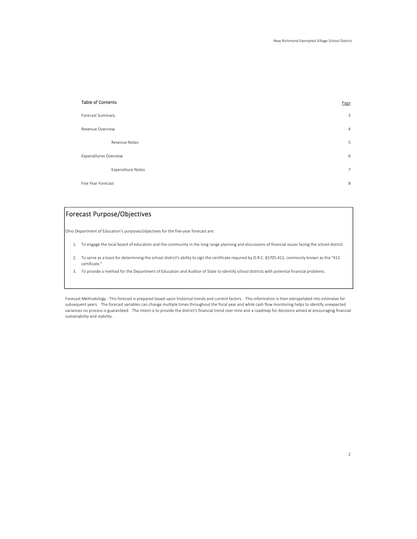| <b>Table of Contents</b>     | Page |
|------------------------------|------|
| Forecast Summary             | 3    |
| Revenue Overview             | 4    |
| Revenue Notes                | 5    |
| <b>Expenditures Overview</b> | 6    |
| <b>Expenditure Notes</b>     | 7    |
| Five Year Forecast           | 8    |

# Forecast Purpose/Objectives

Ohio Department of Education's purposes/objectives for the five-year forecast are:

- 1. To engage the local board of education and the community in the long range planning and discussions of financial issues facing the school district.
- 2. To serve as a basis for determining the school district's ability to sign the certificate required by O.R.C. §5705.412, commonly known as the "412 certificate."
- 3. To provide a method for the Department of Education and Auditor of State to identify school districts with potential financial problems.

Forecast Methodology - This forecast is prepared based upon historical trends and current factors. This information is then extrapolated into estimates for subsequent years. The forecast variables can change multiple times throughout the fiscal year and while cash flow monitoring helps to identify unexpected variances no process is guaranteed. The intent is to provide the district's financial trend over time and a roadmap for decisions aimed at encouraging financial sustainability and stability.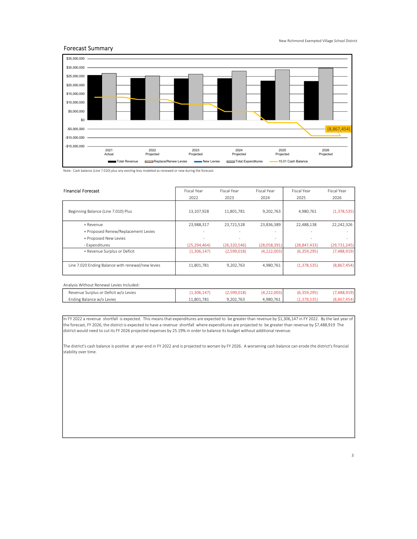## Forecast Summary



Note: Cash balance (Line 7.020) plus any existing levy modeled as renewed or new during the forecast.

| <b>Financial Forecast</b>                         | Fiscal Year              | Fiscal Year    |                          | Fiscal Year    | Fiscal Year    |
|---------------------------------------------------|--------------------------|----------------|--------------------------|----------------|----------------|
|                                                   | 2022                     | 2023           | 2024                     | 2025           | 2026           |
| Beginning Balance (Line 7.010) Plus               | 13,107,928               | 11,801,781     | 9,202,763                | 4.980.761      | (1,378,535)    |
| + Revenue                                         | 23,988,317               | 23,721,528     | 23,836,389               | 22,488,138     | 22,242,326     |
| + Proposed Renew/Replacement Levies               | $\overline{\phantom{a}}$ |                | $\overline{\phantom{a}}$ |                |                |
| + Proposed New Levies                             | $\overline{\phantom{a}}$ |                | $\overline{\phantom{a}}$ |                |                |
| - Expenditures                                    | (25, 294, 464)           | (26, 320, 546) | (28,058,391)             | (28, 847, 433) | (29, 731, 245) |
| = Revenue Surplus or Deficit                      | (1,306,147)              | (2,599,018)    | (4,222,003)              | (6,359,295)    | (7,488,919)    |
| Line 7.020 Ending Balance with renewal/new levies | 11,801,781               | 9,202,763      | 4,980,761                | (1,378,535)    | (8,867,454)    |

| Analysis Without Renewal Levies Included: |             |             |             |             |             |
|-------------------------------------------|-------------|-------------|-------------|-------------|-------------|
| Revenue Surplus or Deficit w/o Levies     | (1.306.147) | (2.599.018) | (4,222,003) | (6.359.295) | (7,488,919) |
| Ending Balance w/o Levies                 | 11.801.781  | 9.202.763   | 4.980.761   | (1.378.535) | (8,867,454) |

In FY 2022 a revenue shortfall is expected. This means that expenditures are expected to be greater than revenue by \$1,306,147 in FY 2022. By the last year of the forecast, FY 2026, the district is expected to have a revenue shortfall where expenditures are projected to be greater than revenue by \$7,488,919 The district would need to cut its FY 2026 projected expenses by 25.19% in order to balance its budget without additional revenue.

The district's cash balance is positive at year-end in FY 2022 and is projected to worsen by FY 2026. A worsening cash balance can erode the district's financial stability over time.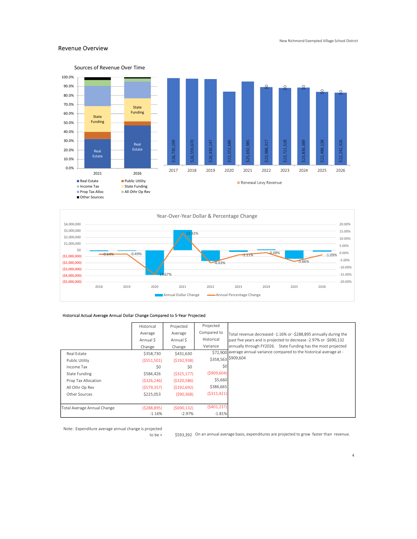



## Historical Actual Average Annual Dollar Change Compared to 5-Year Projected

|                             | Historical     | Projected      | Projected     |                                                                          |
|-----------------------------|----------------|----------------|---------------|--------------------------------------------------------------------------|
|                             | Average        | Average        | Compared to   | Total revenue decreased -1.16% or -\$288,895 annually during the         |
|                             | Annual S       | Annual \$      | Historical    | past five years and is projected to decrease -2.97% or -\$690,132        |
|                             | Change         | Change         | Variance      | annually through FY2026. State Funding has the most projected            |
| Real Estate                 | \$358,730      | \$431,630      |               | \$72,900 average annual variance compared to the historical average at - |
| Public Utility              | $($ \$551,501) | (5192,938)     |               | \$358,563 \$909,604                                                      |
| Income Tax                  | \$0            | \$0            | \$0           |                                                                          |
| <b>State Funding</b>        | \$584,426      | $($ \$325,177) | ( \$909, 604) |                                                                          |
| Prop Tax Allocation         | (5326, 246)    | ( \$320, 586)  | \$5,660       |                                                                          |
| All Othr Op Rev             | (5579, 357)    | (5192, 692)    | \$386,665     |                                                                          |
| Other Sources               | \$225,053      | (590, 368)     | ( \$315,421)  |                                                                          |
|                             |                |                |               |                                                                          |
| Total Average Annual Change | (5288, 895)    | (5690, 132)    | (5401, 237)   |                                                                          |
|                             | $-1.16%$       | $-2.97%$       | $-1.81%$      |                                                                          |

Note: Expenditure average annual change is projected

to be > \$593,392 On an annual average basis, expenditures are projected to grow faster than revenue.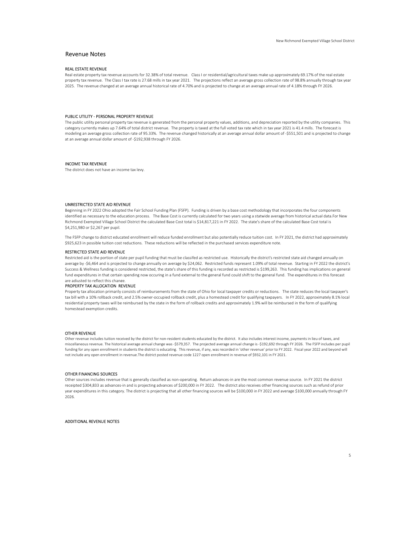## Revenue Notes

## REAL ESTATE REVENUE

Real estate property tax revenue accounts for 32.38% of total revenue. Class I or residential/agricultural taxes make up approximately 69.17% of the real estate property tax revenue. The Class I tax rate is 27.68 mills in tax year 2021. The projections reflect an average gross collection rate of 98.8% annually through tax year 2025. The revenue changed at an average annual historical rate of 4.70% and is projected to change at an average annual rate of 4.18% through FY 2026.

#### PUBLIC UTILITY - PERSONAL PROPERTY REVENUE

The public utility personal property tax revenue is generated from the personal property values, additions, and depreciation reported by the utility companies. This category currently makes up 7.64% of total district revenue. The property is taxed at the full voted tax rate which in tax year 2021 is 41.4 mills. The forecast is modeling an average gross collection rate of 95.33%. The revenue changed historically at an average annual dollar amount of -\$551,501 and is projected to change at an average annual dollar amount of -\$192,938 through FY 2026.

## INCOME TAX REVENUE

The district does not have an income tax levy.

#### UNRESTRICTED STATE AID REVENUE

Beginning in FY 2022 Ohio adopted the Fair School Funding Plan (FSFP). Funding is driven by a base cost methodology that incorporates the four components identified as necessary to the education process. The Base Cost is currently calculated for two years using a statwide average from historical actual data.For New Richmond Exempted Village School District the calculated Base Cost total is \$14,817,221 in FY 2022. The state's share of the calculated Base Cost total is \$4,251,980 or \$2,267 per pupil.

The FSFP change to district educated enrollment will reduce funded enrollment but also potentially reduce tuition cost. In FY 2021, the district had approximately \$925,623 in possible tuition cost reductions. These reductions will be reflected in the purchased services expenditure note.

## RESTRICTED STATE AID REVENUE

Restricted aid is the portion of state per pupil funding that must be classifed as restricted use. Historically the district's restricted state aid changed annually on average by -\$6,464 and is projected to change annually on average by \$24,062. Restricted funds represent 1.09% of total revenue. Starting in FY 2022 the district's Success & Wellness funding is considered restricted, the state's share of this funding is recorded as restricted is \$199,263. This funding has implications on general fund expenditures in that certain spending now occuring in a fund external to the general fund could shift to the general fund. The expenditures in this forecast

#### PROPERTY TAX ALLOCATION REVENUE are adiusted to reflect this change

Property tax allocation primarily consists of reimbursements from the state of Ohio for local taxpayer credits or reductions. The state reduces the local taxpayer's tax bill with a 10% rollback credit, and 2.5% owner-occupied rollback credit, plus a homestead credit for qualifying taxpayers. In FY 2022, approximately 8.1% local residential property taxes will be reimbursed by the state in the form of rollback credits and approximately 1.9% will be reimbursed in the form of qualifying homestead exemption credits.

## OTHER REVENUE

Other revenue includes tuition received by the district for non-resident students educated by the district. It also includes interest income, payments in lieu of taxes, and miscellaneous revenue. The historical average annual change was -\$579,357. The projected average annual change is -\$192,692 through FY 2026. The FSFP includes per pupil funding for any open enrollment in students the district is educating. This revenue, if any, was recorded in 'other revenue' prior to FY 2022. Fiscal year 2022 and beyond will not include any open enrollment in revenue.The district posted revenue code 1227 open enrollment in revenue of \$932,101 in FY 2021.

#### OTHER FINANCING SOURCES

Other sources includes revenue that is generally classified as non-operating. Return advances-in are the most common revenue source. In FY 2021 the district receipted \$304,833 as advances-in and is projecting advances of \$200,000 in FY 2022. The district also receives other financing sources such as refund of prior year expenditures in this category. The district is projecting that all other financing sources will be \$100,000 in FY 2022 and average \$100,000 annually through FY 2026.

ADDITIONAL REVENUE NOTES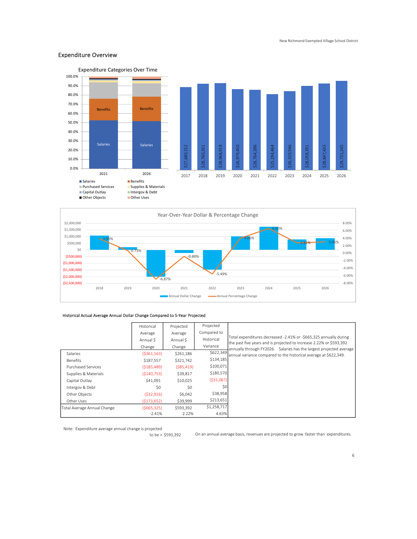## Expenditure Overview





## Historical Actual Average Annual Dollar Change Compared to 5-Year Projected

|                             | Historical    | Projected     | Projected   |                                                                                                                                          |
|-----------------------------|---------------|---------------|-------------|------------------------------------------------------------------------------------------------------------------------------------------|
|                             | Average       | Average       | Compared to |                                                                                                                                          |
|                             | Annual S      | Annual \$     | Historical  | Total expenditures decreased -2.41% or -\$665,325 annually during<br>the past five years and is projected to increase 2.22% or \$593,392 |
|                             | Change        | Change        | Variance    | annually through FY2026. Salaries has the largest projected average                                                                      |
| Salaries                    | ( \$361,163)  | \$261,186     | \$622,349   | lannual variance compared to the historical average at \$622.349.                                                                        |
| <b>Benefits</b>             | \$187,557     | \$321,742     | \$134,185   |                                                                                                                                          |
| <b>Purchased Services</b>   | ( \$185,489)  | $($ \$85,419) | \$100,071   |                                                                                                                                          |
| Supplies & Materials        | ( \$140, 753) | \$39,817      | \$180,570   |                                                                                                                                          |
| Capital Outlay              | \$41,091      | \$10,025      | ( \$31,067) |                                                                                                                                          |
| Intergov & Debt             | \$0           | \$0           | \$0         |                                                                                                                                          |
| Other Objects               | (532,916)     | \$6,042       | \$38,958    |                                                                                                                                          |
| Other Uses                  | ( \$173,652)  | \$39,999      | \$213,651   |                                                                                                                                          |
| Total Average Annual Change | ( \$665, 325) | \$593,392     | \$1,258,717 |                                                                                                                                          |
|                             | $-2.41%$      | 2.22%         | 4.63%       |                                                                                                                                          |

to be > \$593,392 Note: Expenditure average annual change is projected

On an annual average basis, revenues are projected to grow faster than expenditures.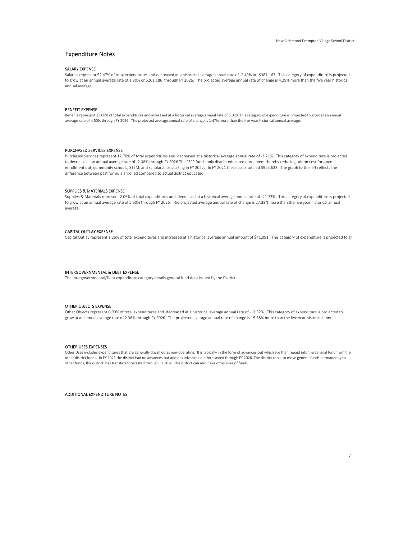## Expenditure Notes

## SALARY EXPENSE

Salaries represent 52.47% of total expenditures and decreased at a historical average annual rate of -2.49% or -\$361,163. This category of expenditure is projected to grow at an annual average rate of 1.80% or \$261,186 through FY 2026. The projected average annual rate of change is 4.29% more than the five year historical annual average.

## BENEFIT EXPENSE

Benefits represent 23.68% of total expenditures and increased at a historical average annual rate of 3.02% This category of expenditure is projected to grow at an annual average rate of 4.50% through FY 2026. The projected average annual rate of change is 1.47% more than the five year historical annual average.

## PURCHASED SERVICES EXPENSE

Purchased Services represent 17.76% of total expenditures and decreased at a historical average annual rate of -3.71%. This category of expenditure is projected to decrease at an annual average rate of -2.08% through FY 2026 The FSFP funds only district educated enrollment thereby reducing tuition cost for open enrollment out, community schools, STEM, and scholarships starting in FY 2022. In FY 2021 these costs totaled \$925,623. The graph to the left reflects the difference between past formula enrolled compared to actual district educated.

## SUPPLIES & MATERIALS EXPENSE

Supplies & Materials represent 2.06% of total expenditures and decreased at a historical average annual rate of -21.73%. This category of expenditure is projected to grow at an annual average rate of 5.60% through FY 2026. The projected average annual rate of change is 27.33% more than the five year historical annual average.

## CAPITAL OUTLAY EXPENSE

Capital Outlay represent 1.26% of total expenditures and increased at a historical average annual amount of \$41,091. This category of expenditure is projected to gr

## INTERGOVERNMENTAL & DEBT EXPENSE

The Intergovernmental/Debt expenditure category details general fund debt issued by the District.

#### OTHER OBJECTS EXPENSE

Other Objects represent 0.90% of total expenditures and decreased at a historical average annual rate of -13.32%. This category of expenditure is projected to grow at an annual average rate of 2.36% through FY 2026. The projected average annual rate of change is 15.68% more than the five year historical annual

#### OTHER USES EXPENSES

Other Uses includes expenditures that are generally classified as non-operating. It is typically in the form of advances-out which are then repaid into the general fund from the other district funds. In FY 2021 the district had no advances-out and has advances-out forecasted through FY 2026. The district can also move general funds permanently to other funds, the district has transfers forecasted through FY 2026. The district can also have other uses of funds.

ADDITIONAL EXPENDITURE NOTES